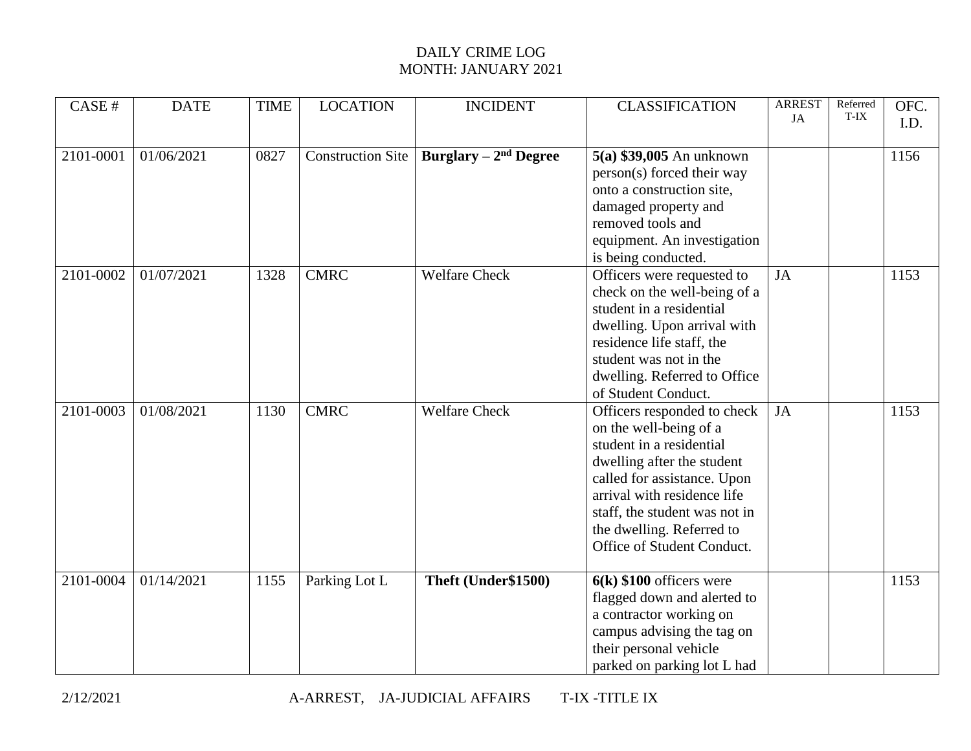## DAILY CRIME LOG MONTH: JANUARY 2021

| CASE#     | <b>DATE</b> | <b>TIME</b> | <b>LOCATION</b>          | <b>INCIDENT</b>        | <b>CLASSIFICATION</b>                                                                                                                                                                                                                                                     | <b>ARREST</b><br><b>JA</b> | Referred<br>T-IX | OFC.<br>I.D. |
|-----------|-------------|-------------|--------------------------|------------------------|---------------------------------------------------------------------------------------------------------------------------------------------------------------------------------------------------------------------------------------------------------------------------|----------------------------|------------------|--------------|
| 2101-0001 | 01/06/2021  | 0827        | <b>Construction Site</b> | Burglary $-2nd$ Degree | $5(a)$ \$39,005 An unknown<br>person(s) forced their way<br>onto a construction site,<br>damaged property and<br>removed tools and<br>equipment. An investigation<br>is being conducted.                                                                                  |                            |                  | 1156         |
| 2101-0002 | 01/07/2021  | 1328        | <b>CMRC</b>              | <b>Welfare Check</b>   | Officers were requested to<br>check on the well-being of a<br>student in a residential<br>dwelling. Upon arrival with<br>residence life staff, the<br>student was not in the<br>dwelling. Referred to Office<br>of Student Conduct.                                       | JA                         |                  | 1153         |
| 2101-0003 | 01/08/2021  | 1130        | <b>CMRC</b>              | <b>Welfare Check</b>   | Officers responded to check<br>on the well-being of a<br>student in a residential<br>dwelling after the student<br>called for assistance. Upon<br>arrival with residence life<br>staff, the student was not in<br>the dwelling. Referred to<br>Office of Student Conduct. | <b>JA</b>                  |                  | 1153         |
| 2101-0004 | 01/14/2021  | 1155        | Parking Lot L            | Theft (Under\$1500)    | $6(k)$ \$100 officers were<br>flagged down and alerted to<br>a contractor working on<br>campus advising the tag on<br>their personal vehicle<br>parked on parking lot L had                                                                                               |                            |                  | 1153         |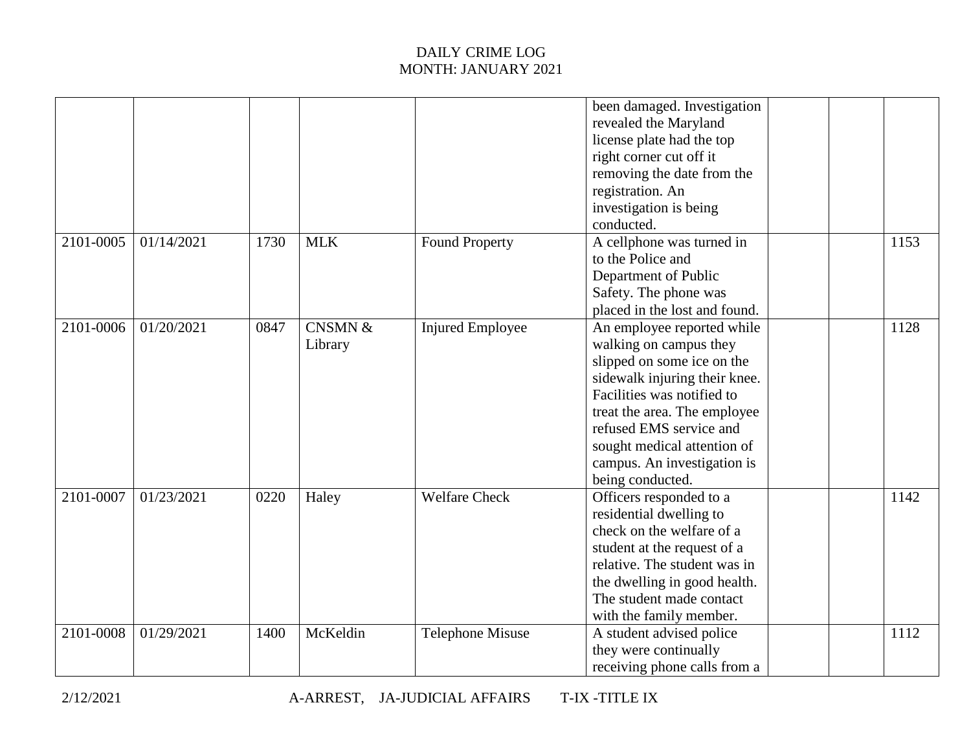## DAILY CRIME LOG MONTH: JANUARY 2021

|           |            |      |                               |                         | been damaged. Investigation<br>revealed the Maryland<br>license plate had the top<br>right corner cut off it<br>removing the date from the<br>registration. An<br>investigation is being<br>conducted.                                                                                         |      |
|-----------|------------|------|-------------------------------|-------------------------|------------------------------------------------------------------------------------------------------------------------------------------------------------------------------------------------------------------------------------------------------------------------------------------------|------|
| 2101-0005 | 01/14/2021 | 1730 | <b>MLK</b>                    | <b>Found Property</b>   | A cellphone was turned in<br>to the Police and<br>Department of Public<br>Safety. The phone was<br>placed in the lost and found.                                                                                                                                                               | 1153 |
| 2101-0006 | 01/20/2021 | 0847 | <b>CNSMN &amp;</b><br>Library | <b>Injured Employee</b> | An employee reported while<br>walking on campus they<br>slipped on some ice on the<br>sidewalk injuring their knee.<br>Facilities was notified to<br>treat the area. The employee<br>refused EMS service and<br>sought medical attention of<br>campus. An investigation is<br>being conducted. | 1128 |
| 2101-0007 | 01/23/2021 | 0220 | Haley                         | <b>Welfare Check</b>    | Officers responded to a<br>residential dwelling to<br>check on the welfare of a<br>student at the request of a<br>relative. The student was in<br>the dwelling in good health.<br>The student made contact<br>with the family member.                                                          | 1142 |
| 2101-0008 | 01/29/2021 | 1400 | McKeldin                      | <b>Telephone Misuse</b> | A student advised police<br>they were continually<br>receiving phone calls from a                                                                                                                                                                                                              | 1112 |